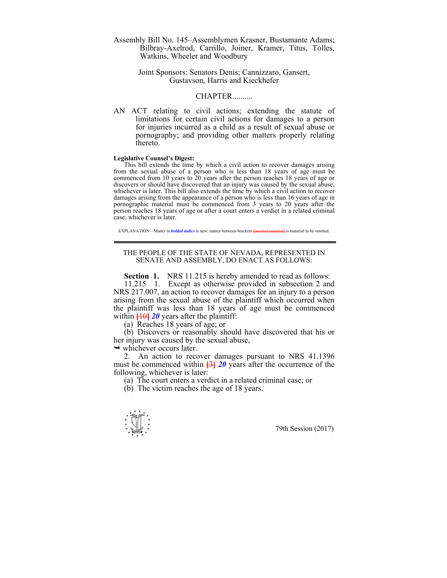Assembly Bill No. 145–Assemblymen Krasner, Bustamante Adams; Bilbray-Axelrod, Carrillo, Joiner, Kramer, Titus, Tolles, Watkins, Wheeler and Woodbury

> Joint Sponsors: Senators Denis; Cannizzaro, Gansert, Gustavson, Harris and Kieckhefer

## CHAPTER..........

AN ACT relating to civil actions; extending the statute of limitations for certain civil actions for damages to a person for injuries incurred as a child as a result of sexual abuse or pornography; and providing other matters properly relating thereto.

## **Legislative Counsel's Digest:**

This bill extends the time by which a civil action to recover damages arising from the sexual abuse of a person who is less than 18 years of age must be commenced from 10 years to 20 years after the person reaches 18 years of age or discovers or should have discovered that an injury was caused by the sexual abuse, whichever is later. This bill also extends the time by which a civil action to recover damages arising from the appearance of a person who is less than 16 years of age in pornographic material must be commenced from 3 years to 20 years after the person reaches 18 years of age or after a court enters a verdict in a related criminal case, whichever is later.

EXPLANATION – Matter in *bolded italics* is new; matter between brackets **[**omitted material**]** is material to be omitted.

## THE PEOPLE OF THE STATE OF NEVADA, REPRESENTED IN SENATE AND ASSEMBLY, DO ENACT AS FOLLOWS:

**Section 1.** NRS 11.215 is hereby amended to read as follows:

 11.215 1. Except as otherwise provided in subsection 2 and NRS 217.007, an action to recover damages for an injury to a person arising from the sexual abuse of the plaintiff which occurred when the plaintiff was less than 18 years of age must be commenced within **[**10**]** *20* years after the plaintiff:

(a) Reaches 18 years of age; or

 (b) Discovers or reasonably should have discovered that his or her injury was caused by the sexual abuse,

 $\rightarrow$  whichever occurs later.

 2. An action to recover damages pursuant to NRS 41.1396 must be commenced within **[**3**]** *20* years after the occurrence of the following, whichever is later:

(a) The court enters a verdict in a related criminal case; or

(b) The victim reaches the age of 18 years.